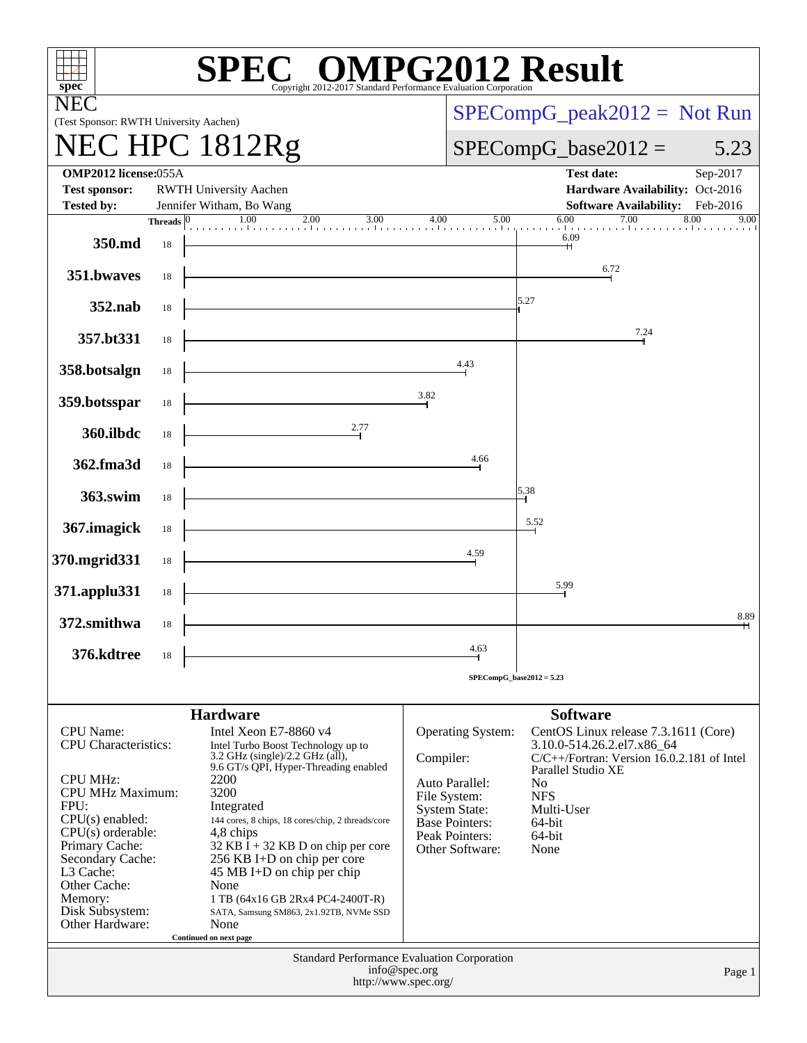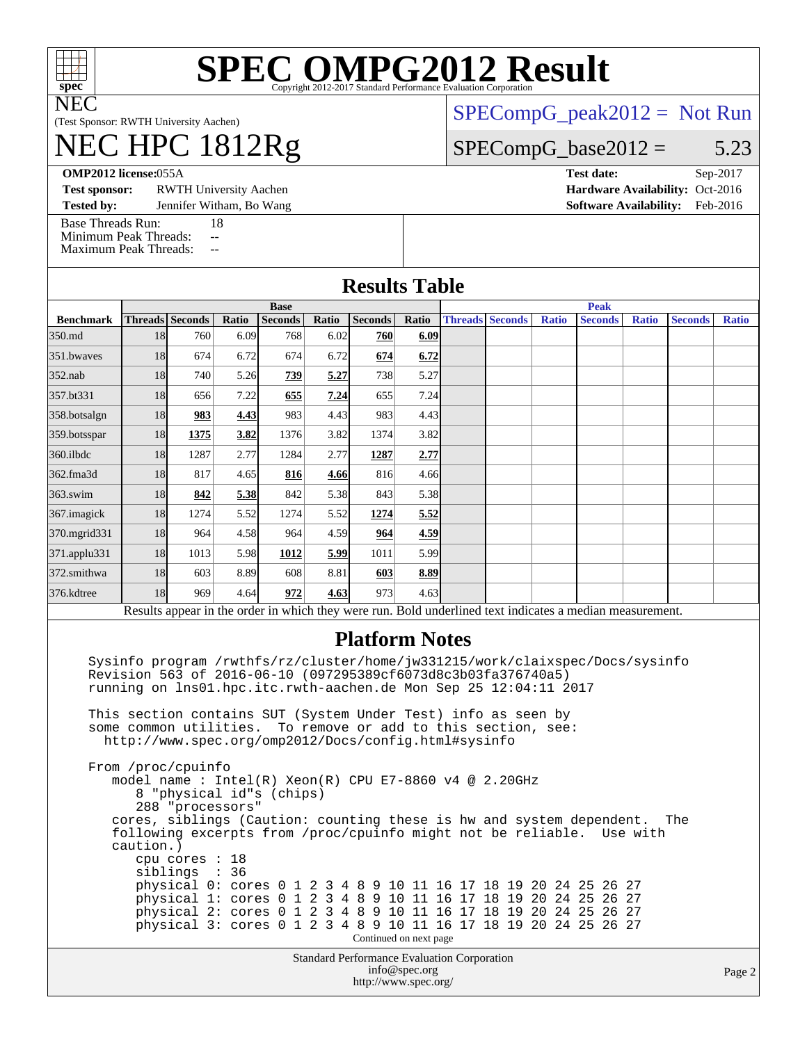

# **[SPEC OMPG2012 Result](http://www.spec.org/auto/omp2012/Docs/result-fields.html#SPECOMPG2012Result)**

(Test Sponsor: RWTH University Aachen)

## NEC HPC 1812Rg

 $SPECompG_peak2012 = Not Run$  $SPECompG_peak2012 = Not Run$ 

#### $SPECompG_base2012 = 5.23$  $SPECompG_base2012 = 5.23$

**[OMP2012 license:](http://www.spec.org/auto/omp2012/Docs/result-fields.html#OMP2012license)**055A **[Test date:](http://www.spec.org/auto/omp2012/Docs/result-fields.html#Testdate)** Sep-2017

**[Test sponsor:](http://www.spec.org/auto/omp2012/Docs/result-fields.html#Testsponsor)** RWTH University Aachen **[Hardware Availability:](http://www.spec.org/auto/omp2012/Docs/result-fields.html#HardwareAvailability)** Oct-2016

**[Tested by:](http://www.spec.org/auto/omp2012/Docs/result-fields.html#Testedby)** Jennifer Witham, Bo Wang **[Software Availability:](http://www.spec.org/auto/omp2012/Docs/result-fields.html#SoftwareAvailability)** Feb-2016

[Base Threads Run:](http://www.spec.org/auto/omp2012/Docs/result-fields.html#BaseThreadsRun) 18

[Minimum Peak Threads:](http://www.spec.org/auto/omp2012/Docs/result-fields.html#MinimumPeakThreads) --[Maximum Peak Threads:](http://www.spec.org/auto/omp2012/Docs/result-fields.html#MaximumPeakThreads)

|                  | <b>Base</b>            |      |       |                |       |                |       | <b>Peak</b>            |  |              |                                                                                                          |              |                |              |
|------------------|------------------------|------|-------|----------------|-------|----------------|-------|------------------------|--|--------------|----------------------------------------------------------------------------------------------------------|--------------|----------------|--------------|
| <b>Benchmark</b> | <b>Threads</b> Seconds |      | Ratio | <b>Seconds</b> | Ratio | <b>Seconds</b> | Ratio | <b>Threads Seconds</b> |  | <b>Ratio</b> | <b>Seconds</b>                                                                                           | <b>Ratio</b> | <b>Seconds</b> | <b>Ratio</b> |
| 350.md           | 18                     | 760  | 6.09  | 768            | 6.02  | 760            | 6.09  |                        |  |              |                                                                                                          |              |                |              |
| 351.bwayes       | 18                     | 674  | 6.72  | 674            | 6.72  | 674            | 6.72  |                        |  |              |                                                                                                          |              |                |              |
| 352.nab          | 18                     | 740  | 5.26  | 739            | 5.27  | 738            | 5.27  |                        |  |              |                                                                                                          |              |                |              |
| 357.bt331        | 18                     | 656  | 7.22  | 655            | 7.24  | 655            | 7.24  |                        |  |              |                                                                                                          |              |                |              |
| 358.botsalgn     | 18                     | 983  | 4.43  | 983            | 4.43  | 983            | 4.43  |                        |  |              |                                                                                                          |              |                |              |
| 359.botsspar     | 18                     | 1375 | 3.82  | 1376           | 3.82  | 1374           | 3.82  |                        |  |              |                                                                                                          |              |                |              |
| 360.ilbdc        | 18                     | 1287 | 2.77  | 1284           | 2.77  | 1287           | 2.77  |                        |  |              |                                                                                                          |              |                |              |
| 362.fma3d        | 18                     | 817  | 4.65  | 816            | 4.66  | 816            | 4.66  |                        |  |              |                                                                                                          |              |                |              |
| $363$ .swim      | 18                     | 842  | 5.38  | 842            | 5.38  | 843            | 5.38  |                        |  |              |                                                                                                          |              |                |              |
| 367.imagick      | 18                     | 1274 | 5.52  | 1274           | 5.52  | 1274           | 5.52  |                        |  |              |                                                                                                          |              |                |              |
| 370.mgrid331     | 18                     | 964  | 4.58  | 964            | 4.59  | 964            | 4.59  |                        |  |              |                                                                                                          |              |                |              |
| 371.applu331     | 18                     | 1013 | 5.98  | 1012           | 5.99  | 1011           | 5.99  |                        |  |              |                                                                                                          |              |                |              |
| 372.smithwa      | 18                     | 603  | 8.89  | 608            | 8.81  | 603            | 8.89  |                        |  |              |                                                                                                          |              |                |              |
| 376.kdtree       | 18                     | 969  | 4.64  | 972            | 4.63  | 973            | 4.63  |                        |  |              |                                                                                                          |              |                |              |
|                  |                        |      |       |                |       |                |       |                        |  |              | Results appear in the order in which they were run. Bold underlined text indicates a median measurement. |              |                |              |

 Sysinfo program /rwthfs/rz/cluster/home/jw331215/work/claixspec/Docs/sysinfo Revision 563 of 2016-06-10 (097295389cf6073d8c3b03fa376740a5) running on lns01.hpc.itc.rwth-aachen.de Mon Sep 25 12:04:11 2017

 This section contains SUT (System Under Test) info as seen by some common utilities. To remove or add to this section, see: <http://www.spec.org/omp2012/Docs/config.html#sysinfo>

Standard Performance Evaluation Corporation From /proc/cpuinfo model name : Intel(R) Xeon(R) CPU E7-8860 v4 @ 2.20GHz 8 "physical id"s (chips) 288 "processors" cores, siblings (Caution: counting these is hw and system dependent. The following excerpts from /proc/cpuinfo might not be reliable. Use with caution.) cpu cores : 18 siblings : 36 physical 0: cores 0 1 2 3 4 8 9 10 11 16 17 18 19 20 24 25 26 27 physical 1: cores 0 1 2 3 4 8 9 10 11 16 17 18 19 20 24 25 26 27 physical 2: cores 0 1 2 3 4 8 9 10 11 16 17 18 19 20 24 25 26 27 physical 3: cores 0 1 2 3 4 8 9 10 11 16 17 18 19 20 24 25 26 27 Continued on next page

[info@spec.org](mailto:info@spec.org) <http://www.spec.org/>

Page 2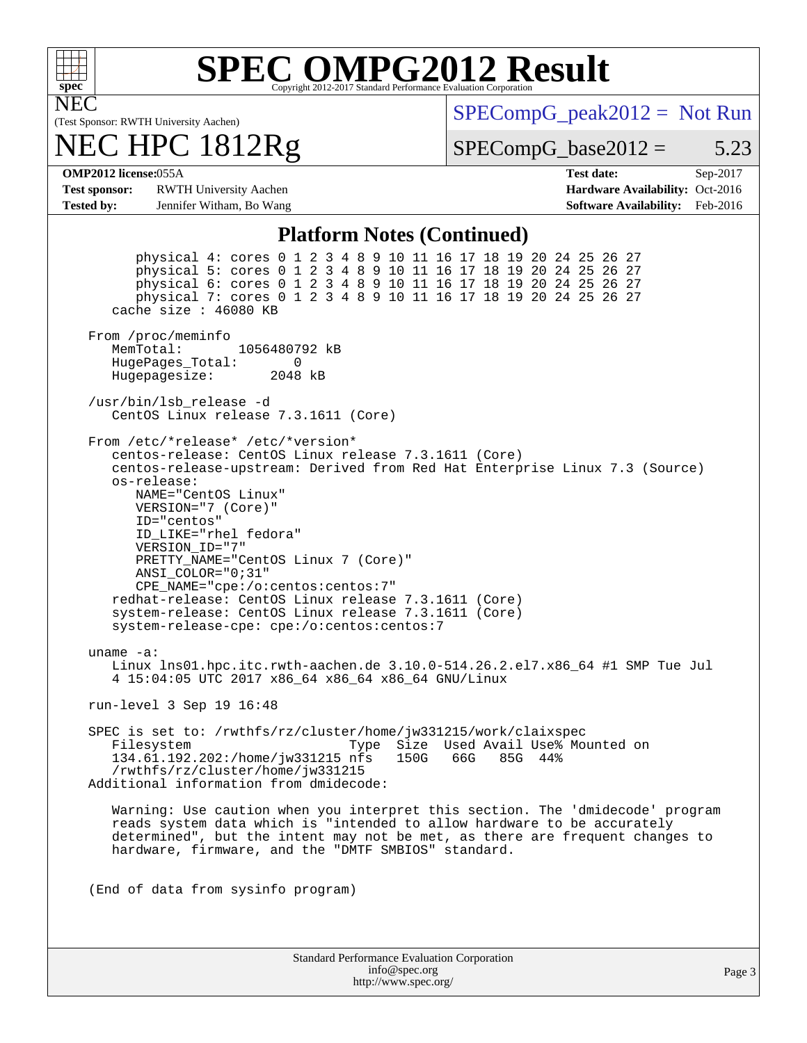

## **[SPEC OMPG2012 Result](http://www.spec.org/auto/omp2012/Docs/result-fields.html#SPECOMPG2012Result)**

(Test Sponsor: RWTH University Aachen) NEC HPC 1812Rg  $SPECompG_peak2012 = Not Run$  $SPECompG_peak2012 = Not Run$ 

 $SPECompG_base2012 = 5.23$  $SPECompG_base2012 = 5.23$ 

**[OMP2012 license:](http://www.spec.org/auto/omp2012/Docs/result-fields.html#OMP2012license)**055A **[Test date:](http://www.spec.org/auto/omp2012/Docs/result-fields.html#Testdate)** Sep-2017

**[Test sponsor:](http://www.spec.org/auto/omp2012/Docs/result-fields.html#Testsponsor)** RWTH University Aachen **[Hardware Availability:](http://www.spec.org/auto/omp2012/Docs/result-fields.html#HardwareAvailability)** Oct-2016 **[Tested by:](http://www.spec.org/auto/omp2012/Docs/result-fields.html#Testedby)** Jennifer Witham, Bo Wang **[Software Availability:](http://www.spec.org/auto/omp2012/Docs/result-fields.html#SoftwareAvailability)** Feb-2016

#### **[Platform Notes \(Continued\)](http://www.spec.org/auto/omp2012/Docs/result-fields.html#PlatformNotes)**

 physical 4: cores 0 1 2 3 4 8 9 10 11 16 17 18 19 20 24 25 26 27 physical 5: cores 0 1 2 3 4 8 9 10 11 16 17 18 19 20 24 25 26 27 physical 6: cores 0 1 2 3 4 8 9 10 11 16 17 18 19 20 24 25 26 27 physical 7: cores 0 1 2 3 4 8 9 10 11 16 17 18 19 20 24 25 26 27 cache size : 46080 KB From /proc/meminfo MemTotal: 1056480792 kB HugePages\_Total: 0<br>Hugepagesize: 2048 kB Hugepagesize: /usr/bin/lsb\_release -d CentOS Linux release 7.3.1611 (Core) From /etc/\*release\* /etc/\*version\* centos-release: CentOS Linux release 7.3.1611 (Core) centos-release-upstream: Derived from Red Hat Enterprise Linux 7.3 (Source) os-release: NAME="CentOS Linux" VERSION="7 (Core)" ID="centos" ID\_LIKE="rhel fedora" VERSION\_ID="7" PRETTY\_NAME="CentOS Linux 7 (Core)" ANSI\_COLOR="0;31" CPE\_NAME="cpe:/o:centos:centos:7" redhat-release: CentOS Linux release 7.3.1611 (Core) system-release: CentOS Linux release 7.3.1611 (Core) system-release-cpe: cpe:/o:centos:centos:7 uname -a: Linux lns01.hpc.itc.rwth-aachen.de 3.10.0-514.26.2.el7.x86\_64 #1 SMP Tue Jul 4 15:04:05 UTC 2017 x86\_64 x86\_64 x86\_64 GNU/Linux run-level 3 Sep 19 16:48 SPEC is set to: /rwthfs/rz/cluster/home/jw331215/work/claixspec<br>Filesystem Type Size Used Avail Use% Mo Type Size Used Avail Use% Mounted on<br>nfs 150G 66G 85G 44% 134.61.192.202:/home/jw331215 nfs /rwthfs/rz/cluster/home/jw331215 Additional information from dmidecode: Warning: Use caution when you interpret this section. The 'dmidecode' program reads system data which is "intended to allow hardware to be accurately determined", but the intent may not be met, as there are frequent changes to hardware, firmware, and the "DMTF SMBIOS" standard. (End of data from sysinfo program)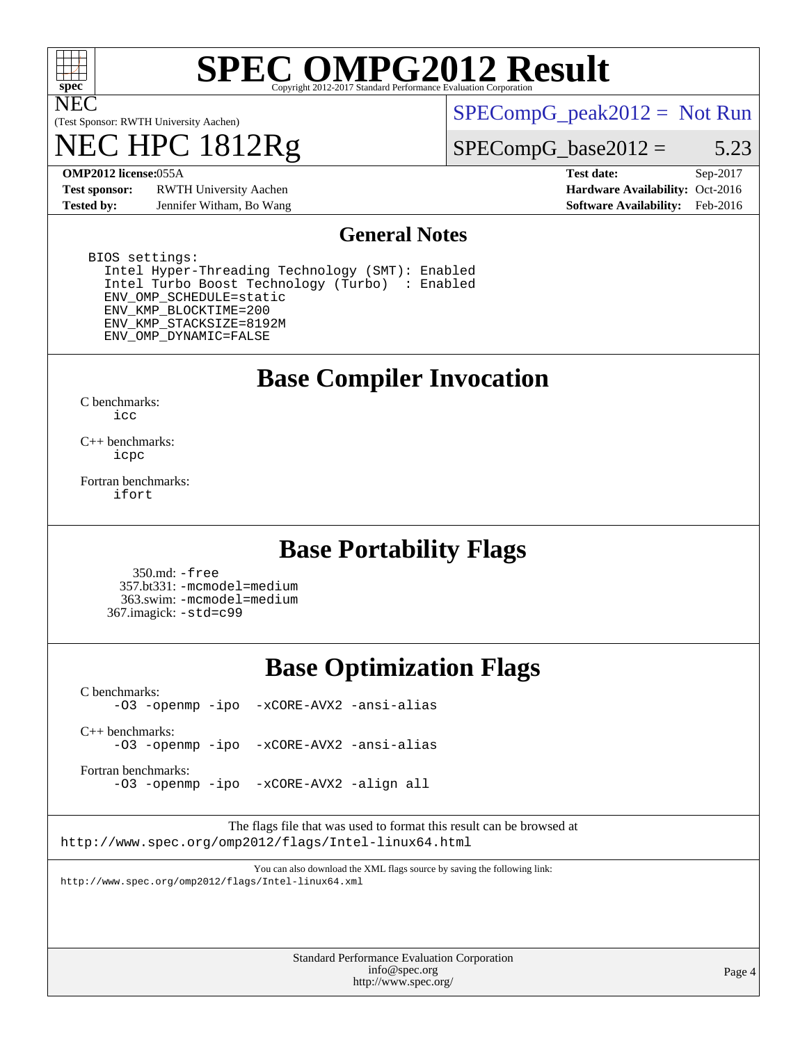

# **[SPEC OMPG2012 Result](http://www.spec.org/auto/omp2012/Docs/result-fields.html#SPECOMPG2012Result)**

(Test Sponsor: RWTH University Aachen)

## 1812Rg

 $SPECompG_peak2012 = Not Run$  $SPECompG_peak2012 = Not Run$ 

#### $SPECompG_base2012 = 5.23$  $SPECompG_base2012 = 5.23$

**[Test sponsor:](http://www.spec.org/auto/omp2012/Docs/result-fields.html#Testsponsor)** RWTH University Aachen **[Hardware Availability:](http://www.spec.org/auto/omp2012/Docs/result-fields.html#HardwareAvailability)** Oct-2016 **[Tested by:](http://www.spec.org/auto/omp2012/Docs/result-fields.html#Testedby)** Jennifer Witham, Bo Wang **[Software Availability:](http://www.spec.org/auto/omp2012/Docs/result-fields.html#SoftwareAvailability)** Feb-2016

**[OMP2012 license:](http://www.spec.org/auto/omp2012/Docs/result-fields.html#OMP2012license)**055A **[Test date:](http://www.spec.org/auto/omp2012/Docs/result-fields.html#Testdate)** Sep-2017

#### **[General Notes](http://www.spec.org/auto/omp2012/Docs/result-fields.html#GeneralNotes)**

 BIOS settings: Intel Hyper-Threading Technology (SMT): Enabled Intel Turbo Boost Technology (Turbo) : Enabled ENV\_OMP\_SCHEDULE=static ENV\_KMP\_BLOCKTIME=200 ENV\_KMP\_STACKSIZE=8192M ENV\_OMP\_DYNAMIC=FALSE

### **[Base Compiler Invocation](http://www.spec.org/auto/omp2012/Docs/result-fields.html#BaseCompilerInvocation)**

[C benchmarks](http://www.spec.org/auto/omp2012/Docs/result-fields.html#Cbenchmarks): [icc](http://www.spec.org/omp2012/results/res2017q4/omp2012-20170927-00128.flags.html#user_CCbase_intel_icc_a87c68a857bc5ec5362391a49d3a37a6)

[C++ benchmarks:](http://www.spec.org/auto/omp2012/Docs/result-fields.html#CXXbenchmarks) [icpc](http://www.spec.org/omp2012/results/res2017q4/omp2012-20170927-00128.flags.html#user_CXXbase_intel_icpc_2d899f8d163502b12eb4a60069f80c1c)

[Fortran benchmarks](http://www.spec.org/auto/omp2012/Docs/result-fields.html#Fortranbenchmarks): [ifort](http://www.spec.org/omp2012/results/res2017q4/omp2012-20170927-00128.flags.html#user_FCbase_intel_ifort_8a5e5e06b19a251bdeaf8fdab5d62f20)

### **[Base Portability Flags](http://www.spec.org/auto/omp2012/Docs/result-fields.html#BasePortabilityFlags)**

 350.md: [-free](http://www.spec.org/omp2012/results/res2017q4/omp2012-20170927-00128.flags.html#user_baseFPORTABILITY350_md_f-FR_e51be0673775d2012b3310fa5323f530) 357.bt331: [-mcmodel=medium](http://www.spec.org/omp2012/results/res2017q4/omp2012-20170927-00128.flags.html#user_baseFPORTABILITY357_bt331_f-mcmodel_3a41622424bdd074c4f0f2d2f224c7e5) 363.swim: [-mcmodel=medium](http://www.spec.org/omp2012/results/res2017q4/omp2012-20170927-00128.flags.html#user_baseFPORTABILITY363_swim_f-mcmodel_3a41622424bdd074c4f0f2d2f224c7e5) 367.imagick: [-std=c99](http://www.spec.org/omp2012/results/res2017q4/omp2012-20170927-00128.flags.html#user_baseCPORTABILITY367_imagick_f-std_2ec6533b6e06f1c4a6c9b78d9e9cde24)

### **[Base Optimization Flags](http://www.spec.org/auto/omp2012/Docs/result-fields.html#BaseOptimizationFlags)**

[C benchmarks](http://www.spec.org/auto/omp2012/Docs/result-fields.html#Cbenchmarks): [-O3](http://www.spec.org/omp2012/results/res2017q4/omp2012-20170927-00128.flags.html#user_CCbase_f-O3) [-openmp](http://www.spec.org/omp2012/results/res2017q4/omp2012-20170927-00128.flags.html#user_CCbase_f-openmp) [-ipo](http://www.spec.org/omp2012/results/res2017q4/omp2012-20170927-00128.flags.html#user_CCbase_f-ipo_84062ab53814f613187d02344b8f49a7) [-xCORE-AVX2](http://www.spec.org/omp2012/results/res2017q4/omp2012-20170927-00128.flags.html#user_CCbase_f-xCORE-AVX2) [-ansi-alias](http://www.spec.org/omp2012/results/res2017q4/omp2012-20170927-00128.flags.html#user_CCbase_f-ansi-alias)

[C++ benchmarks:](http://www.spec.org/auto/omp2012/Docs/result-fields.html#CXXbenchmarks) [-O3](http://www.spec.org/omp2012/results/res2017q4/omp2012-20170927-00128.flags.html#user_CXXbase_f-O3) [-openmp](http://www.spec.org/omp2012/results/res2017q4/omp2012-20170927-00128.flags.html#user_CXXbase_f-openmp) [-ipo](http://www.spec.org/omp2012/results/res2017q4/omp2012-20170927-00128.flags.html#user_CXXbase_f-ipo_84062ab53814f613187d02344b8f49a7) [-xCORE-AVX2](http://www.spec.org/omp2012/results/res2017q4/omp2012-20170927-00128.flags.html#user_CXXbase_f-xCORE-AVX2) [-ansi-alias](http://www.spec.org/omp2012/results/res2017q4/omp2012-20170927-00128.flags.html#user_CXXbase_f-ansi-alias)

[Fortran benchmarks](http://www.spec.org/auto/omp2012/Docs/result-fields.html#Fortranbenchmarks):

[-O3](http://www.spec.org/omp2012/results/res2017q4/omp2012-20170927-00128.flags.html#user_FCbase_f-O3) [-openmp](http://www.spec.org/omp2012/results/res2017q4/omp2012-20170927-00128.flags.html#user_FCbase_f-openmp) [-ipo](http://www.spec.org/omp2012/results/res2017q4/omp2012-20170927-00128.flags.html#user_FCbase_f-ipo_84062ab53814f613187d02344b8f49a7) [-xCORE-AVX2](http://www.spec.org/omp2012/results/res2017q4/omp2012-20170927-00128.flags.html#user_FCbase_f-xCORE-AVX2) [-align all](http://www.spec.org/omp2012/results/res2017q4/omp2012-20170927-00128.flags.html#user_FCbase_f-align_1ebfa66158b49aff21b037afc4046011)

The flags file that was used to format this result can be browsed at <http://www.spec.org/omp2012/flags/Intel-linux64.html>

You can also download the XML flags source by saving the following link: <http://www.spec.org/omp2012/flags/Intel-linux64.xml>

> Standard Performance Evaluation Corporation [info@spec.org](mailto:info@spec.org) <http://www.spec.org/>